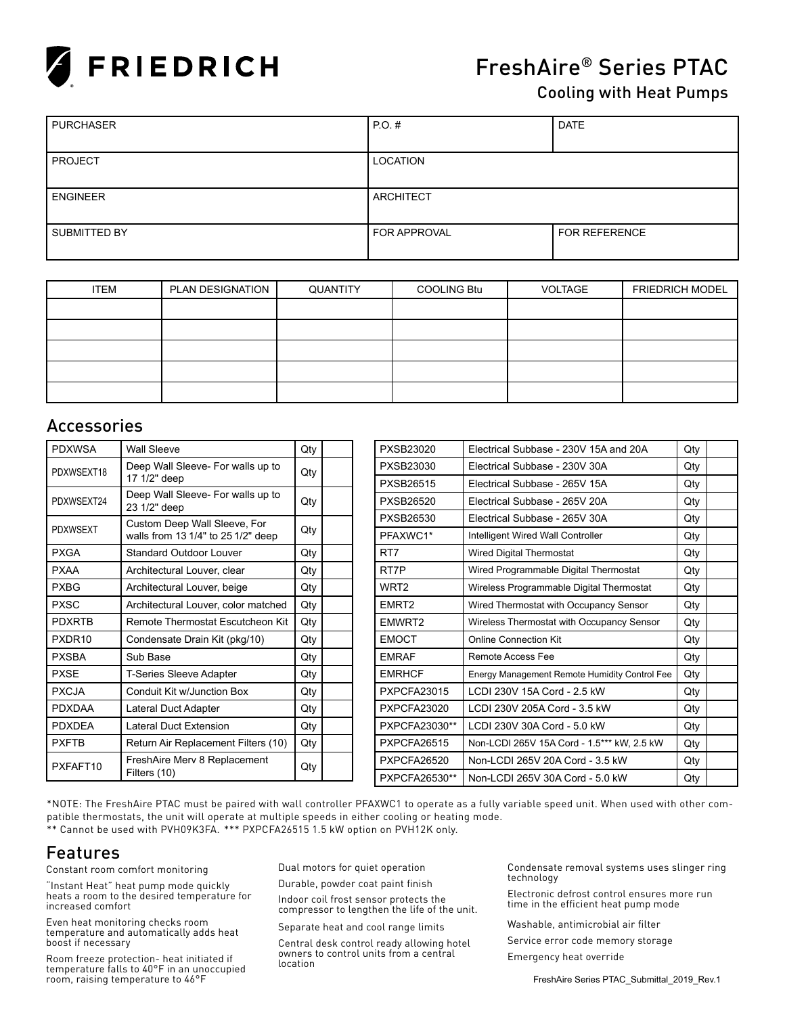

# FreshAire® Series PTAC

### Cooling with Heat Pumps

| <b>PURCHASER</b> | P.O. #              | <b>DATE</b>   |
|------------------|---------------------|---------------|
|                  |                     |               |
| <b>PROJECT</b>   | LOCATION            |               |
|                  |                     |               |
| <b>ENGINEER</b>  | <b>ARCHITECT</b>    |               |
|                  |                     |               |
| SUBMITTED BY     | <b>FOR APPROVAL</b> | FOR REFERENCE |
|                  |                     |               |

| <b>ITEM</b> | PLAN DESIGNATION | QUANTITY | COOLING Btu | VOLTAGE | <b>FRIEDRICH MODEL</b> |
|-------------|------------------|----------|-------------|---------|------------------------|
|             |                  |          |             |         |                        |
|             |                  |          |             |         |                        |
|             |                  |          |             |         |                        |
|             |                  |          |             |         |                        |
|             |                  |          |             |         |                        |

## Accessories

| <b>PDXWSA</b>                | <b>Wall Sleeve</b>                                | Qty |           | PXSB23020                     | Flectrical Subbase - 230V 15A and 20A         | Qty |
|------------------------------|---------------------------------------------------|-----|-----------|-------------------------------|-----------------------------------------------|-----|
| PDXWSEXT18                   | Deep Wall Sleeve- For walls up to                 | Qty |           | PXSB23030                     | Electrical Subbase - 230V 30A                 | Qty |
| 17 1/2" deep                 |                                                   |     |           | PXSB26515                     | Electrical Subbase - 265V 15A                 | Qty |
| PDXWSEXT24                   | Deep Wall Sleeve- For walls up to<br>23 1/2" deep | Qty |           | <b>PXSB26520</b>              | Electrical Subbase - 265V 20A                 | Qty |
| Custom Deep Wall Sleeve, For | Qty                                               |     | PXSB26530 | Electrical Subbase - 265V 30A | Qty                                           |     |
| <b>PDXWSEXT</b>              | walls from 13 1/4" to 25 1/2" deep                |     |           | PFAXWC1*                      | Intelligent Wired Wall Controller             |     |
| <b>PXGA</b>                  | <b>Standard Outdoor Louver</b>                    | Qty |           | RT <sub>7</sub>               | <b>Wired Digital Thermostat</b>               | Qty |
| <b>PXAA</b>                  | Architectural Louver, clear                       | Qty |           | RT7P                          | Wired Programmable Digital Thermostat         | Qty |
| <b>PXBG</b>                  | Architectural Louver, beige                       | Qty |           | WRT <sub>2</sub>              | Wireless Programmable Digital Thermostat      | Qty |
| <b>PXSC</b>                  | Architectural Louver, color matched               | Qty |           | EMRT <sub>2</sub>             | Wired Thermostat with Occupancy Sensor        | Qty |
| <b>PDXRTB</b>                | Remote Thermostat Escutcheon Kit                  | Qty |           | EMWRT2                        | Wireless Thermostat with Occupancy Sensor     | Qty |
| PXDR <sub>10</sub>           | Condensate Drain Kit (pkg/10)                     | Qty |           | <b>EMOCT</b>                  | <b>Online Connection Kit</b>                  | Qty |
| <b>PXSBA</b>                 | Sub Base                                          | Qty |           | <b>EMRAF</b>                  | Remote Access Fee                             | Qty |
| <b>PXSE</b>                  | <b>T-Series Sleeve Adapter</b>                    | Qty |           | <b>EMRHCF</b>                 | Energy Management Remote Humidity Control Fee | Qty |
| <b>PXCJA</b>                 | Conduit Kit w/Junction Box                        | Qty |           | <b>PXPCFA23015</b>            | LCDI 230V 15A Cord - 2.5 kW                   | Qty |
| <b>PDXDAA</b>                | Lateral Duct Adapter                              | Qty |           | <b>PXPCFA23020</b>            | LCDI 230V 205A Cord - 3.5 kW                  | Qty |
| <b>PDXDEA</b>                | Lateral Duct Extension                            | Qty |           | PXPCFA23030**                 | LCDI 230V 30A Cord - 5.0 kW                   | Qty |
| <b>PXFTB</b>                 | Return Air Replacement Filters (10)               | Qty |           | PXPCFA26515                   | Non-LCDI 265V 15A Cord - 1.5*** kW, 2.5 kW    | Qty |
| PXFAFT10                     | FreshAire Merv 8 Replacement                      | Qty |           | PXPCFA26520                   | Non-LCDI 265V 20A Cord - 3.5 kW               | Qty |
|                              | Filters (10)                                      |     |           | PXPCFA26530**                 | Non-LCDI 265V 30A Cord - 5.0 kW               | Qty |

\*NOTE: The FreshAire PTAC must be paired with wall controller PFAXWC1 to operate as a fully variable speed unit. When used with other compatible thermostats, the unit will operate at multiple speeds in either cooling or heating mode. \*\* Cannot be used with PVH09K3FA. \*\*\* PXPCFA26515 1.5 kW option on PVH12K only.

## Features

Constant room comfort monitoring

"Instant Heat" heat pump mode quickly heats a room to the desired temperature for increased comfort

Even heat monitoring checks room temperature and automatically adds heat boost if necessary

Room freeze protection- heat initiated if temperature falls to 40°F in an unoccupied room, raising temperature to 46°F

Dual motors for quiet operation

Durable, powder coat paint finish

Indoor coil frost sensor protects the compressor to lengthen the life of the unit.

Separate heat and cool range limits

Central desk control ready allowing hotel owners to control units from a central location

Condensate removal systems uses slinger ring technology

Electronic defrost control ensures more run time in the efficient heat pump mode

Washable, antimicrobial air filter Service error code memory storage Emergency heat override

FreshAire Series PTAC\_Submittal\_2019\_Rev.1